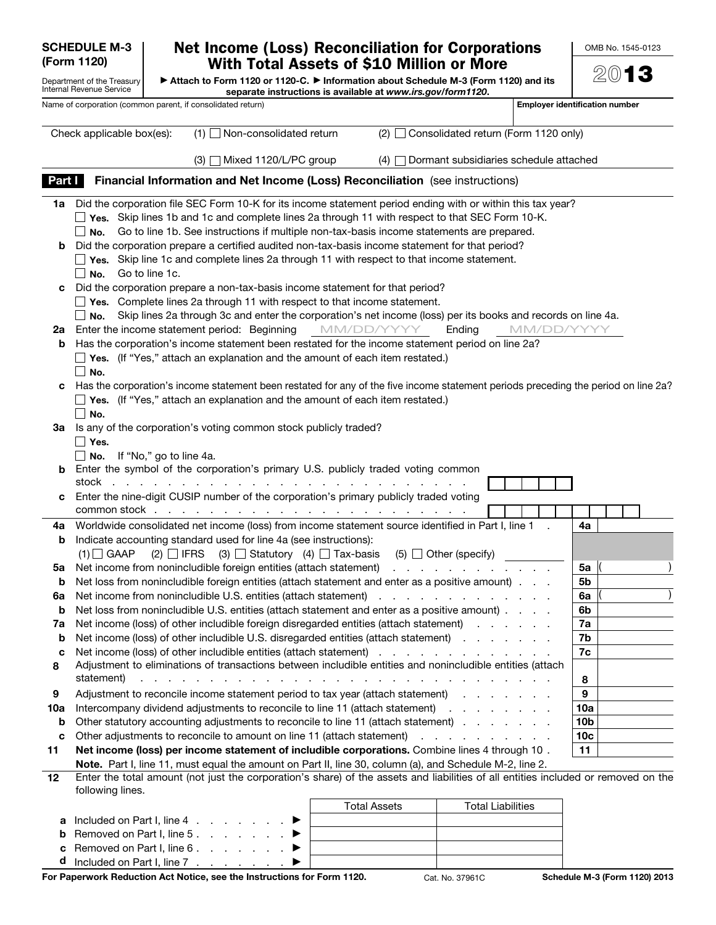| <b>SCHEDULE M-3</b><br>(Form 1120) |                                                                                                                                                                                                                                      | <b>Net Income (Loss) Reconciliation for Corporations</b><br>With Total Assets of \$10 Million or More                                                                                                                                                                                                                                      |            |                     |                                        |            | OMB No. 1545-0123                     |
|------------------------------------|--------------------------------------------------------------------------------------------------------------------------------------------------------------------------------------------------------------------------------------|--------------------------------------------------------------------------------------------------------------------------------------------------------------------------------------------------------------------------------------------------------------------------------------------------------------------------------------------|------------|---------------------|----------------------------------------|------------|---------------------------------------|
|                                    | ► Attach to Form 1120 or 1120-C. ► Information about Schedule M-3 (Form 1120) and its<br>Department of the Treasury<br><b>Internal Revenue Service</b><br>separate instructions is available at www.irs.gov/form1120.                |                                                                                                                                                                                                                                                                                                                                            |            | 2013                |                                        |            |                                       |
|                                    |                                                                                                                                                                                                                                      | Name of corporation (common parent, if consolidated return)                                                                                                                                                                                                                                                                                |            |                     |                                        |            | <b>Employer identification number</b> |
|                                    | Check applicable box(es):                                                                                                                                                                                                            | Non-consolidated return<br>$(1)$                                                                                                                                                                                                                                                                                                           |            | $(2)$               | Consolidated return (Form 1120 only)   |            |                                       |
|                                    |                                                                                                                                                                                                                                      | Mixed 1120/L/PC group<br>(3)                                                                                                                                                                                                                                                                                                               |            | (4)                 | Dormant subsidiaries schedule attached |            |                                       |
| Part I                             |                                                                                                                                                                                                                                      | Financial Information and Net Income (Loss) Reconciliation (see instructions)                                                                                                                                                                                                                                                              |            |                     |                                        |            |                                       |
|                                    |                                                                                                                                                                                                                                      | 1a Did the corporation file SEC Form 10-K for its income statement period ending with or within this tax year?                                                                                                                                                                                                                             |            |                     |                                        |            |                                       |
|                                    |                                                                                                                                                                                                                                      | Yes. Skip lines 1b and 1c and complete lines 2a through 11 with respect to that SEC Form 10-K.                                                                                                                                                                                                                                             |            |                     |                                        |            |                                       |
|                                    | No.                                                                                                                                                                                                                                  | Go to line 1b. See instructions if multiple non-tax-basis income statements are prepared.<br><b>b</b> Did the corporation prepare a certified audited non-tax-basis income statement for that period?                                                                                                                                      |            |                     |                                        |            |                                       |
|                                    |                                                                                                                                                                                                                                      | Yes. Skip line 1c and complete lines 2a through 11 with respect to that income statement.                                                                                                                                                                                                                                                  |            |                     |                                        |            |                                       |
|                                    | No.                                                                                                                                                                                                                                  | Go to line 1c.                                                                                                                                                                                                                                                                                                                             |            |                     |                                        |            |                                       |
|                                    |                                                                                                                                                                                                                                      | c Did the corporation prepare a non-tax-basis income statement for that period?<br>Yes. Complete lines 2a through 11 with respect to that income statement.                                                                                                                                                                                |            |                     |                                        |            |                                       |
|                                    | No.                                                                                                                                                                                                                                  | Skip lines 2a through 3c and enter the corporation's net income (loss) per its books and records on line 4a.                                                                                                                                                                                                                               |            |                     |                                        |            |                                       |
|                                    |                                                                                                                                                                                                                                      | 2a Enter the income statement period: Beginning                                                                                                                                                                                                                                                                                            | MM/DD/YYYY |                     | Ending                                 | MM/DD/YYYY |                                       |
| b                                  |                                                                                                                                                                                                                                      | Has the corporation's income statement been restated for the income statement period on line 2a?                                                                                                                                                                                                                                           |            |                     |                                        |            |                                       |
|                                    | No.                                                                                                                                                                                                                                  | Yes. (If "Yes," attach an explanation and the amount of each item restated.)                                                                                                                                                                                                                                                               |            |                     |                                        |            |                                       |
|                                    |                                                                                                                                                                                                                                      | c Has the corporation's income statement been restated for any of the five income statement periods preceding the period on line 2a?                                                                                                                                                                                                       |            |                     |                                        |            |                                       |
|                                    |                                                                                                                                                                                                                                      | Yes. (If "Yes," attach an explanation and the amount of each item restated.)                                                                                                                                                                                                                                                               |            |                     |                                        |            |                                       |
|                                    | No.                                                                                                                                                                                                                                  |                                                                                                                                                                                                                                                                                                                                            |            |                     |                                        |            |                                       |
|                                    | │ Yes.                                                                                                                                                                                                                               | 3a Is any of the corporation's voting common stock publicly traded?                                                                                                                                                                                                                                                                        |            |                     |                                        |            |                                       |
|                                    | No.                                                                                                                                                                                                                                  | If "No," go to line 4a.                                                                                                                                                                                                                                                                                                                    |            |                     |                                        |            |                                       |
|                                    |                                                                                                                                                                                                                                      | <b>b</b> Enter the symbol of the corporation's primary U.S. publicly traded voting common                                                                                                                                                                                                                                                  |            |                     |                                        |            |                                       |
| с                                  | stock                                                                                                                                                                                                                                | Enter the nine-digit CUSIP number of the corporation's primary publicly traded voting                                                                                                                                                                                                                                                      |            |                     |                                        |            |                                       |
|                                    | common stock .                                                                                                                                                                                                                       | . The contract of the contract of the contract of the contract of the contract of $\mathcal{A}$                                                                                                                                                                                                                                            |            |                     |                                        |            |                                       |
| 4a                                 |                                                                                                                                                                                                                                      | Worldwide consolidated net income (loss) from income statement source identified in Part I, line 1                                                                                                                                                                                                                                         |            |                     |                                        |            | 4a                                    |
| b                                  |                                                                                                                                                                                                                                      | Indicate accounting standard used for line 4a (see instructions):                                                                                                                                                                                                                                                                          |            |                     |                                        |            |                                       |
| 5a                                 |                                                                                                                                                                                                                                      | (1) GAAP (2) $\Box$ IFRS (3) $\Box$ Statutory (4) $\Box$ Tax-basis (5) $\Box$ Other (specify)<br>Net income from nonincludible foreign entities (attach statement) exclude the content of the form of the state                                                                                                                            |            |                     |                                        |            | 5a                                    |
| b                                  |                                                                                                                                                                                                                                      | Net loss from nonincludible foreign entities (attach statement and enter as a positive amount).                                                                                                                                                                                                                                            |            |                     |                                        |            | 5b                                    |
| 6a                                 |                                                                                                                                                                                                                                      | Net income from nonincludible U.S. entities (attach statement)                                                                                                                                                                                                                                                                             |            |                     |                                        |            | 6a                                    |
| b<br>7а                            |                                                                                                                                                                                                                                      | Net loss from nonincludible U.S. entities (attach statement and enter as a positive amount)<br>Net income (loss) of other includible foreign disregarded entities (attach statement)                                                                                                                                                       |            |                     |                                        |            | 6b<br>7a                              |
| b                                  |                                                                                                                                                                                                                                      | Net income (loss) of other includible U.S. disregarded entities (attach statement)                                                                                                                                                                                                                                                         |            |                     |                                        |            | 7b                                    |
| c                                  | Net income (loss) of other includible entities (attach statement)<br>7c                                                                                                                                                              |                                                                                                                                                                                                                                                                                                                                            |            |                     |                                        |            |                                       |
| 8                                  | statement)                                                                                                                                                                                                                           | Adjustment to eliminations of transactions between includible entities and nonincludible entities (attach<br>a construction of the construction of the construction of the construction of the construction of the construction of the construction of the construction of the construction of the construction of the construction of the |            |                     |                                        |            |                                       |
| 9                                  |                                                                                                                                                                                                                                      | Adjustment to reconcile income statement period to tax year (attach statement)                                                                                                                                                                                                                                                             |            |                     |                                        |            | 8<br>9                                |
| 10a                                |                                                                                                                                                                                                                                      | Intercompany dividend adjustments to reconcile to line 11 (attach statement)                                                                                                                                                                                                                                                               |            |                     |                                        |            | 10a                                   |
| b                                  | Other statutory accounting adjustments to reconcile to line 11 (attach statement)<br>10b                                                                                                                                             |                                                                                                                                                                                                                                                                                                                                            |            |                     |                                        |            |                                       |
| c                                  | Other adjustments to reconcile to amount on line 11 (attach statement)<br>10 <sub>c</sub><br>and a state of the state of the state<br>Net income (loss) per income statement of includible corporations. Combine lines 4 through 10. |                                                                                                                                                                                                                                                                                                                                            |            |                     |                                        |            |                                       |
| 11                                 |                                                                                                                                                                                                                                      | Note. Part I, line 11, must equal the amount on Part II, line 30, column (a), and Schedule M-2, line 2.                                                                                                                                                                                                                                    |            |                     |                                        |            | 11                                    |
| 12                                 |                                                                                                                                                                                                                                      | Enter the total amount (not just the corporation's share) of the assets and liabilities of all entities included or removed on the                                                                                                                                                                                                         |            |                     |                                        |            |                                       |
|                                    | following lines.                                                                                                                                                                                                                     |                                                                                                                                                                                                                                                                                                                                            |            |                     |                                        |            |                                       |
| a                                  |                                                                                                                                                                                                                                      | Included on Part I, line 4 $\ldots$ $\ldots$                                                                                                                                                                                                                                                                                               |            | <b>Total Assets</b> | <b>Total Liabilities</b>               |            |                                       |
|                                    |                                                                                                                                                                                                                                      | <b>b</b> Removed on Part I, line 5. $\triangleright$                                                                                                                                                                                                                                                                                       |            |                     |                                        |            |                                       |

| c Removed on Part I, line 6. $\ldots$ $\blacktriangleright$    |  |  |  |  |
|----------------------------------------------------------------|--|--|--|--|
| <b>d</b> Included on Part I, line 7 $\ldots$ $\ldots$ $\ldots$ |  |  |  |  |

For Paperwork Reduction Act Notice, see the Instructions for Form 1120. Cat. No. 37961C Schedule M-3 (Form 1120) 2013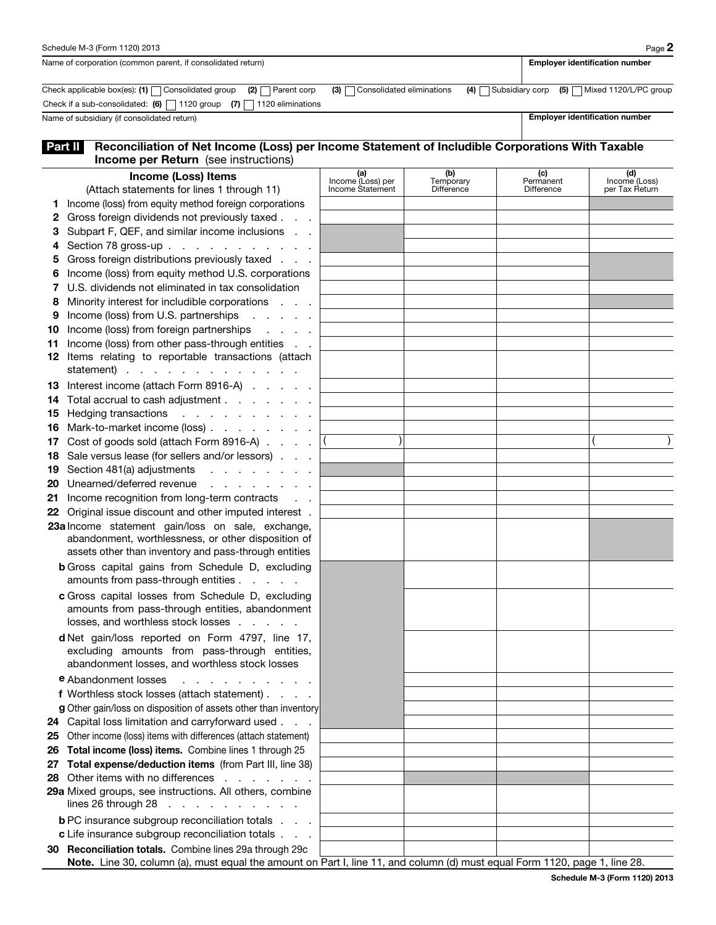|                                                             | Schedule M-3 (Form 1120) 2013                                                                                                                                                         |                               |                       |                  | Page 2                                |  |  |  |
|-------------------------------------------------------------|---------------------------------------------------------------------------------------------------------------------------------------------------------------------------------------|-------------------------------|-----------------------|------------------|---------------------------------------|--|--|--|
| Name of corporation (common parent, if consolidated return) |                                                                                                                                                                                       |                               |                       |                  | <b>Employer identification number</b> |  |  |  |
|                                                             | Check applicable box(es): (1) $\Box$ Consolidated group<br>$(2)$ Parent corp                                                                                                          | (3) Consolidated eliminations | $(4)$ Subsidiary corp |                  | $(5)$ Mixed 1120/L/PC group           |  |  |  |
|                                                             | Check if a sub-consolidated: (6) $\Box$ 1120 group (7) $\Box$ 1120 eliminations                                                                                                       |                               |                       |                  |                                       |  |  |  |
|                                                             | Name of subsidiary (if consolidated return)                                                                                                                                           |                               |                       |                  | <b>Employer identification number</b> |  |  |  |
|                                                             | Reconciliation of Net Income (Loss) per Income Statement of Includible Corporations With Taxable<br>Part II<br><b>Income per Return</b> (see instructions)                            |                               |                       |                  |                                       |  |  |  |
|                                                             | <b>Income (Loss) Items</b>                                                                                                                                                            | (a)<br>Income (Loss) per      | (b)<br>Temporary      | (c)<br>Permanent | (d)<br>Income (Loss)                  |  |  |  |
|                                                             | (Attach statements for lines 1 through 11)                                                                                                                                            | Income Statement              | Difference            | Difference       | per Tax Return                        |  |  |  |
|                                                             | Income (loss) from equity method foreign corporations                                                                                                                                 |                               |                       |                  |                                       |  |  |  |
| 2                                                           | Gross foreign dividends not previously taxed.                                                                                                                                         |                               |                       |                  |                                       |  |  |  |
| З                                                           | Subpart F, QEF, and similar income inclusions<br>$\mathcal{L}=\mathcal{L}$                                                                                                            |                               |                       |                  |                                       |  |  |  |
| 4                                                           | Section 78 gross-up                                                                                                                                                                   |                               |                       |                  |                                       |  |  |  |
| 5                                                           | Gross foreign distributions previously taxed                                                                                                                                          |                               |                       |                  |                                       |  |  |  |
|                                                             | Income (loss) from equity method U.S. corporations                                                                                                                                    |                               |                       |                  |                                       |  |  |  |
|                                                             | U.S. dividends not eliminated in tax consolidation                                                                                                                                    |                               |                       |                  |                                       |  |  |  |
| 8                                                           | Minority interest for includible corporations                                                                                                                                         |                               |                       |                  |                                       |  |  |  |
| 9                                                           | Income (loss) from U.S. partnerships<br>and a strong of the state                                                                                                                     |                               |                       |                  |                                       |  |  |  |
| 10                                                          | Income (loss) from foreign partnerships<br>and a string of                                                                                                                            |                               |                       |                  |                                       |  |  |  |
| 11                                                          | Income (loss) from other pass-through entities<br>$\sim 10^{-11}$ .                                                                                                                   |                               |                       |                  |                                       |  |  |  |
| 12                                                          | Items relating to reportable transactions (attach<br>statement)                                                                                                                       |                               |                       |                  |                                       |  |  |  |
|                                                             |                                                                                                                                                                                       |                               |                       |                  |                                       |  |  |  |
| 13<br>14                                                    | Interest income (attach Form 8916-A)<br>Total accrual to cash adjustment                                                                                                              |                               |                       |                  |                                       |  |  |  |
| 15                                                          | Hedging transactions<br>and the contract of the con-                                                                                                                                  |                               |                       |                  |                                       |  |  |  |
| 16                                                          | Mark-to-market income (loss)                                                                                                                                                          |                               |                       |                  |                                       |  |  |  |
| 17                                                          | Cost of goods sold (attach Form 8916-A)                                                                                                                                               |                               |                       |                  |                                       |  |  |  |
| 18                                                          | Sale versus lease (for sellers and/or lessors).                                                                                                                                       |                               |                       |                  |                                       |  |  |  |
| 19                                                          | Section 481(a) adjustments<br>.                                                                                                                                                       |                               |                       |                  |                                       |  |  |  |
| 20                                                          | Unearned/deferred revenue<br>and a strain and a strain and                                                                                                                            |                               |                       |                  |                                       |  |  |  |
| 21                                                          | Income recognition from long-term contracts<br>$\mathbf{r} = \mathbf{r} \cdot \mathbf{r}$                                                                                             |                               |                       |                  |                                       |  |  |  |
|                                                             | 22 Original issue discount and other imputed interest.                                                                                                                                |                               |                       |                  |                                       |  |  |  |
|                                                             | 23a Income statement gain/loss on sale, exchange,                                                                                                                                     |                               |                       |                  |                                       |  |  |  |
|                                                             | abandonment, worthlessness, or other disposition of                                                                                                                                   |                               |                       |                  |                                       |  |  |  |
|                                                             | assets other than inventory and pass-through entities                                                                                                                                 |                               |                       |                  |                                       |  |  |  |
|                                                             | <b>b</b> Gross capital gains from Schedule D, excluding<br>amounts from pass-through entities                                                                                         |                               |                       |                  |                                       |  |  |  |
|                                                             | c Gross capital losses from Schedule D, excluding                                                                                                                                     |                               |                       |                  |                                       |  |  |  |
|                                                             | amounts from pass-through entities, abandonment                                                                                                                                       |                               |                       |                  |                                       |  |  |  |
|                                                             | losses, and worthless stock losses                                                                                                                                                    |                               |                       |                  |                                       |  |  |  |
|                                                             | d Net gain/loss reported on Form 4797, line 17,<br>excluding amounts from pass-through entities,                                                                                      |                               |                       |                  |                                       |  |  |  |
|                                                             | abandonment losses, and worthless stock losses                                                                                                                                        |                               |                       |                  |                                       |  |  |  |
|                                                             | <b>e</b> Abandonment losses<br>and a straightful contract and a                                                                                                                       |                               |                       |                  |                                       |  |  |  |
|                                                             | f Worthless stock losses (attach statement)                                                                                                                                           |                               |                       |                  |                                       |  |  |  |
|                                                             | g Other gain/loss on disposition of assets other than inventory                                                                                                                       |                               |                       |                  |                                       |  |  |  |
|                                                             | 24 Capital loss limitation and carryforward used                                                                                                                                      |                               |                       |                  |                                       |  |  |  |
|                                                             | 25 Other income (loss) items with differences (attach statement)                                                                                                                      |                               |                       |                  |                                       |  |  |  |
|                                                             | 26 Total income (loss) items. Combine lines 1 through 25                                                                                                                              |                               |                       |                  |                                       |  |  |  |
| 27                                                          | Total expense/deduction items (from Part III, line 38)                                                                                                                                |                               |                       |                  |                                       |  |  |  |
|                                                             | 28 Other items with no differences                                                                                                                                                    |                               |                       |                  |                                       |  |  |  |
|                                                             | 29a Mixed groups, see instructions. All others, combine                                                                                                                               |                               |                       |                  |                                       |  |  |  |
|                                                             | lines 26 through 28 $\ldots$ $\ldots$ $\ldots$ $\ldots$                                                                                                                               |                               |                       |                  |                                       |  |  |  |
|                                                             | <b>b</b> PC insurance subgroup reconciliation totals                                                                                                                                  |                               |                       |                  |                                       |  |  |  |
|                                                             | c Life insurance subgroup reconciliation totals                                                                                                                                       |                               |                       |                  |                                       |  |  |  |
|                                                             | 30 Reconciliation totals. Combine lines 29a through 29c<br>Note. Line 30, column (a), must equal the amount on Part I, line 11, and column (d) must equal Form 1120, page 1, line 28. |                               |                       |                  |                                       |  |  |  |
|                                                             |                                                                                                                                                                                       |                               |                       |                  |                                       |  |  |  |